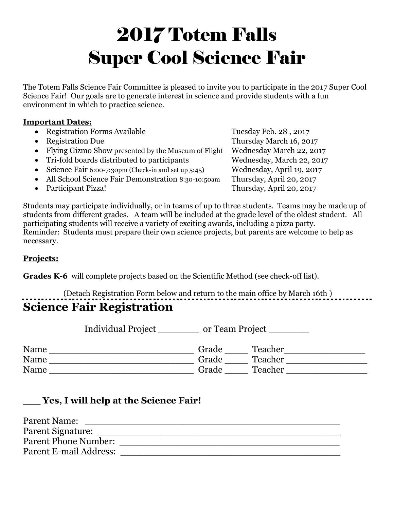# 2017 Totem Falls Super Cool Science Fair

The Totem Falls Science Fair Committee is pleased to invite you to participate in the 2017 Super Cool Science Fair! Our goals are to generate interest in science and provide students with a fun environment in which to practice science.

#### **Important Dates:**

• Registration Forms Available Tuesday Feb. 28, 2017 Registration Due Thursday March 16, 2017 • Flying Gizmo Show presented by the Museum of Flight Wednesday March 22, 2017 • Tri-fold boards distributed to participants Wednesday, March 22, 2017 • Science Fair 6:00-7:30pm (Check-in and set up 5:45) Wednesday, April 19, 2017 • All School Science Fair Demonstration 8:30-10:50am Thursday, April 20, 2017 • Participant Pizza! Thursday, April 20, 2017

Students may participate individually, or in teams of up to three students. Teams may be made up of students from different grades. A team will be included at the grade level of the oldest student. All participating students will receive a variety of exciting awards, including a pizza party. Reminder: Students must prepare their own science projects, but parents are welcome to help as necessary.

#### **Projects:**

**Grades K-6** will complete projects based on the Scientific Method (see check-off list).

## (Detach Registration Form below and return to the main office by March 16th ) **Science Fair Registration**

|      | <b>Individual Project</b><br>or Team Project |       |         |
|------|----------------------------------------------|-------|---------|
| Name |                                              | Grade | Teacher |
| Name |                                              | Grade | Teacher |
| Name |                                              | Grade | Teacher |

#### \_\_\_ **Yes, I will help at the Science Fair!**

| Parent Name:                |  |
|-----------------------------|--|
| Parent Signature:           |  |
| <b>Parent Phone Number:</b> |  |
| Parent E-mail Address:      |  |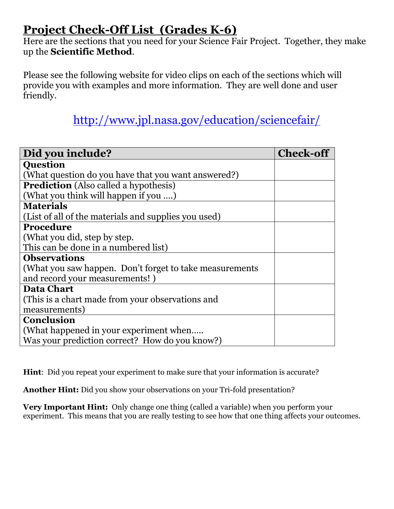# **Project Check-Off List (Grades K-6)**

Here are the sections that you need for your Science Fair Project. Together, they make up the **Scientific Method**.

Please see the following website for video clips on each of the sections which will provide you with examples and more information. They are well done and user friendly.

## <http://www.jpl.nasa.gov/education/sciencefair/>

| Did you include?                                         | <b>Check-off</b> |
|----------------------------------------------------------|------------------|
| <b>Question</b>                                          |                  |
| (What question do you have that you want answered?)      |                  |
| <b>Prediction</b> (Also called a hypothesis)             |                  |
| (What you think will happen if you )                     |                  |
| <b>Materials</b>                                         |                  |
| (List of all of the materials and supplies you used)     |                  |
| <b>Procedure</b>                                         |                  |
| (What you did, step by step.                             |                  |
| This can be done in a numbered list)                     |                  |
| <b>Observations</b>                                      |                  |
| (What you saw happen. Don't forget to take measurements) |                  |
| and record your measurements!)                           |                  |
| <b>Data Chart</b>                                        |                  |
| (This is a chart made from your observations and         |                  |
| measurements)                                            |                  |
| <b>Conclusion</b>                                        |                  |
| (What happened in your experiment when                   |                  |
| Was your prediction correct? How do you know?)           |                  |

**Hint**: Did you repeat your experiment to make sure that your information is accurate?

**Another Hint:** Did you show your observations on your Tri-fold presentation?

**Very Important Hint:** Only change one thing (called a variable) when you perform your experiment. This means that you are really testing to see how that one thing affects your outcomes.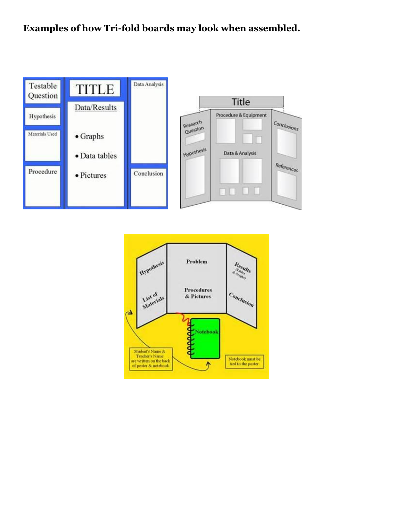### **Examples of how Tri-fold boards may look when assembled.**



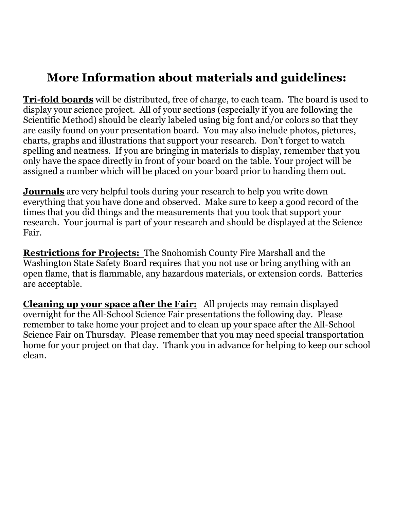## **More Information about materials and guidelines:**

**Tri-fold boards** will be distributed, free of charge, to each team. The board is used to display your science project. All of your sections (especially if you are following the Scientific Method) should be clearly labeled using big font and/or colors so that they are easily found on your presentation board. You may also include photos, pictures, charts, graphs and illustrations that support your research. Don't forget to watch spelling and neatness. If you are bringing in materials to display, remember that you only have the space directly in front of your board on the table. Your project will be assigned a number which will be placed on your board prior to handing them out.

**Journals** are very helpful tools during your research to help you write down everything that you have done and observed. Make sure to keep a good record of the times that you did things and the measurements that you took that support your research. Your journal is part of your research and should be displayed at the Science Fair.

**Restrictions for Projects:** The Snohomish County Fire Marshall and the Washington State Safety Board requires that you not use or bring anything with an open flame, that is flammable, any hazardous materials, or extension cords. Batteries are acceptable.

**Cleaning up your space after the Fair:** All projects may remain displayed overnight for the All-School Science Fair presentations the following day. Please remember to take home your project and to clean up your space after the All-School Science Fair on Thursday. Please remember that you may need special transportation home for your project on that day. Thank you in advance for helping to keep our school clean.